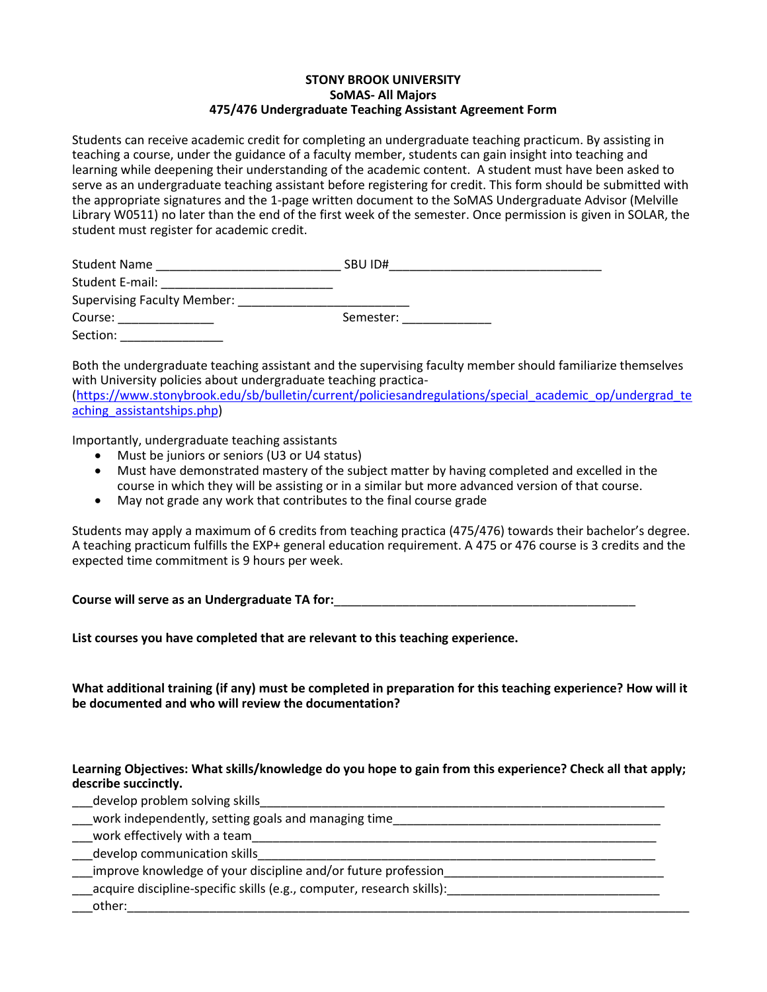## **STONY BROOK UNIVERSITY SoMAS- All Majors 475/476 Undergraduate Teaching Assistant Agreement Form**

Students can receive academic credit for completing an undergraduate teaching practicum. By assisting in teaching a course, under the guidance of a faculty member, students can gain insight into teaching and learning while deepening their understanding of the academic content. A student must have been asked to serve as an undergraduate teaching assistant before registering for credit. This form should be submitted with the appropriate signatures and the 1-page written document to the SoMAS Undergraduate Advisor (Melville Library W0511) no later than the end of the first week of the semester. Once permission is given in SOLAR, the student must register for academic credit.

| <b>Student Name</b>                | SBU ID#   |
|------------------------------------|-----------|
| Student E-mail:                    |           |
| <b>Supervising Faculty Member:</b> |           |
| Course:                            | Semester: |
| Section:                           |           |

Both the undergraduate teaching assistant and the supervising faculty member should familiarize themselves with University policies about undergraduate teaching practica-

[\(https://www.stonybrook.edu/sb/bulletin/current/policiesandregulations/special\\_academic\\_op/undergrad\\_te](https://www.stonybrook.edu/sb/bulletin/current/policiesandregulations/special_academic_op/undergrad_teaching_assistantships.php) aching assistantships.php)

Importantly, undergraduate teaching assistants

- Must be juniors or seniors (U3 or U4 status)
- Must have demonstrated mastery of the subject matter by having completed and excelled in the course in which they will be assisting or in a similar but more advanced version of that course.
- May not grade any work that contributes to the final course grade

Students may apply a maximum of 6 credits from teaching practica (475/476) towards their bachelor's degree. A teaching practicum fulfills the EXP+ general education requirement. A 475 or 476 course is 3 credits and the expected time commitment is 9 hours per week.

**Course will serve as an Undergraduate TA for:**\_\_\_\_\_\_\_\_\_\_\_\_\_\_\_\_\_\_\_\_\_\_\_\_\_\_\_\_\_\_\_\_\_\_\_\_\_\_\_\_\_\_\_\_

**List courses you have completed that are relevant to this teaching experience.**

**What additional training (if any) must be completed in preparation for this teaching experience? How will it be documented and who will review the documentation?**

## **Learning Objectives: What skills/knowledge do you hope to gain from this experience? Check all that apply; describe succinctly.**

| develop problem solving skills                                         |
|------------------------------------------------------------------------|
| work independently, setting goals and managing time                    |
| work effectively with a team                                           |
| develop communication skills                                           |
| improve knowledge of your discipline and/or future profession          |
| _acquire discipline-specific skills (e.g., computer, research skills): |
| other:                                                                 |